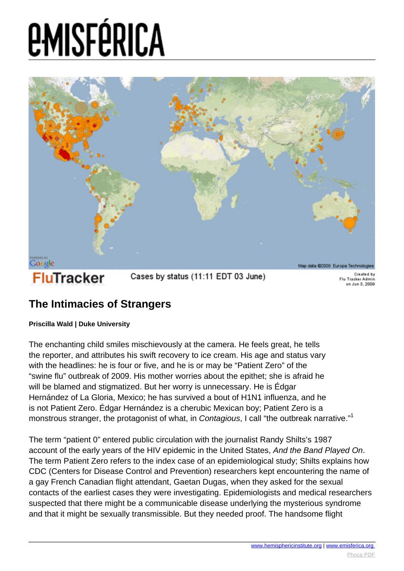

#### **The Intimacies of Strangers**

#### **Priscilla Wald | Duke University**

The enchanting child smiles mischievously at the camera. He feels great, he tells the reporter, and attributes his swift recovery to ice cream. His age and status vary with the headlines: he is four or five, and he is or may be "Patient Zero" of the "swine flu" outbreak of 2009. His mother worries about the epithet; she is afraid he will be blamed and stigmatized. But her worry is unnecessary. He is Édgar Hernández of La Gloria, Mexico; he has survived a bout of H1N1 influenza, and he is not Patient Zero. Édgar Hernández is a cherubic Mexican boy; Patient Zero is a monstrous stranger, the protagonist of what, in Contagious, I call "the outbreak narrative."<sup>1</sup>

The term "patient 0" entered public circulation with the journalist Randy Shilts's 1987 account of the early years of the HIV epidemic in the United States, And the Band Played On. The term Patient Zero refers to the index case of an epidemiological study; Shilts explains how CDC (Centers for Disease Control and Prevention) researchers kept encountering the name of a gay French Canadian flight attendant, Gaetan Dugas, when they asked for the sexual contacts of the earliest cases they were investigating. Epidemiologists and medical researchers suspected that there might be a communicable disease underlying the mysterious syndrome and that it might be sexually transmissible. But they needed proof. The handsome flight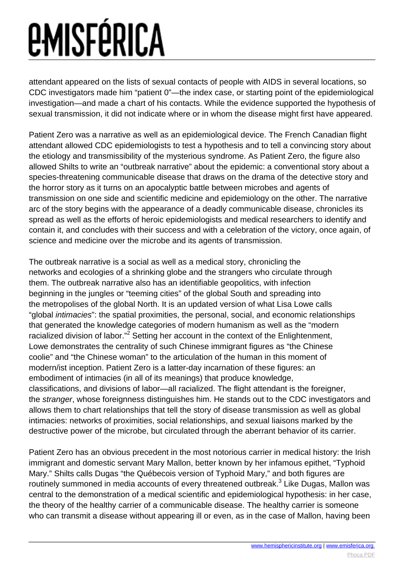attendant appeared on the lists of sexual contacts of people with AIDS in several locations, so CDC investigators made him "patient 0"—the index case, or starting point of the epidemiological investigation—and made a chart of his contacts. While the evidence supported the hypothesis of sexual transmission, it did not indicate where or in whom the disease might first have appeared.

Patient Zero was a narrative as well as an epidemiological device. The French Canadian flight attendant allowed CDC epidemiologists to test a hypothesis and to tell a convincing story about the etiology and transmissibility of the mysterious syndrome. As Patient Zero, the figure also allowed Shilts to write an "outbreak narrative" about the epidemic: a conventional story about a species-threatening communicable disease that draws on the drama of the detective story and the horror story as it turns on an apocalyptic battle between microbes and agents of transmission on one side and scientific medicine and epidemiology on the other. The narrative arc of the story begins with the appearance of a deadly communicable disease, chronicles its spread as well as the efforts of heroic epidemiologists and medical researchers to identify and contain it, and concludes with their success and with a celebration of the victory, once again, of science and medicine over the microbe and its agents of transmission.

The outbreak narrative is a social as well as a medical story, chronicling the networks and ecologies of a shrinking globe and the strangers who circulate through them. The outbreak narrative also has an identifiable geopolitics, with infection beginning in the jungles or "teeming cities" of the global South and spreading into the metropolises of the global North. It is an updated version of what Lisa Lowe calls "global intimacies": the spatial proximities, the personal, social, and economic relationships that generated the knowledge categories of modern humanism as well as the "modern racialized division of labor."<sup>2</sup> Setting her account in the context of the Enlightenment, Lowe demonstrates the centrality of such Chinese immigrant figures as "the Chinese coolie" and "the Chinese woman" to the articulation of the human in this moment of modern/ist inception. Patient Zero is a latter-day incarnation of these figures: an embodiment of intimacies (in all of its meanings) that produce knowledge, classifications, and divisions of labor—all racialized. The flight attendant is the foreigner, the stranger, whose foreignness distinguishes him. He stands out to the CDC investigators and allows them to chart relationships that tell the story of disease transmission as well as global intimacies: networks of proximities, social relationships, and sexual liaisons marked by the destructive power of the microbe, but circulated through the aberrant behavior of its carrier.

Patient Zero has an obvious precedent in the most notorious carrier in medical history: the Irish immigrant and domestic servant Mary Mallon, better known by her infamous epithet, "Typhoid Mary." Shilts calls Dugas "the Québecois version of Typhoid Mary," and both figures are routinely summoned in media accounts of every threatened outbreak.<sup>3</sup> Like Dugas, Mallon was central to the demonstration of a medical scientific and epidemiological hypothesis: in her case, the theory of the healthy carrier of a communicable disease. The healthy carrier is someone who can transmit a disease without appearing ill or even, as in the case of Mallon, having been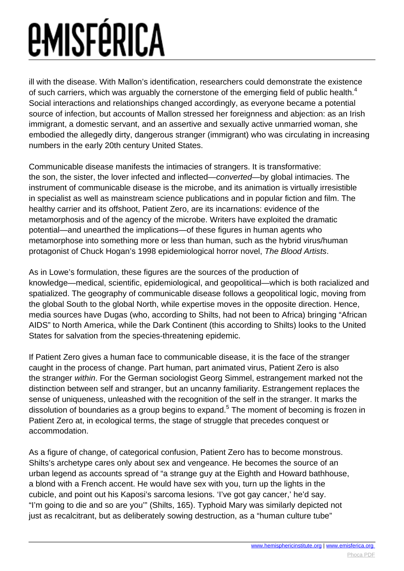ill with the disease. With Mallon's identification, researchers could demonstrate the existence of such carriers, which was arguably the cornerstone of the emerging field of public health.<sup>4</sup> Social interactions and relationships changed accordingly, as everyone became a potential source of infection, but accounts of Mallon stressed her foreignness and abjection: as an Irish immigrant, a domestic servant, and an assertive and sexually active unmarried woman, she embodied the allegedly dirty, dangerous stranger (immigrant) who was circulating in increasing numbers in the early 20th century United States.

Communicable disease manifests the intimacies of strangers. It is transformative: the son, the sister, the lover infected and inflected—converted—by global intimacies. The instrument of communicable disease is the microbe, and its animation is virtually irresistible in specialist as well as mainstream science publications and in popular fiction and film. The healthy carrier and its offshoot, Patient Zero, are its incarnations: evidence of the metamorphosis and of the agency of the microbe. Writers have exploited the dramatic potential—and unearthed the implications—of these figures in human agents who metamorphose into something more or less than human, such as the hybrid virus/human protagonist of Chuck Hogan's 1998 epidemiological horror novel, The Blood Artists.

As in Lowe's formulation, these figures are the sources of the production of knowledge—medical, scientific, epidemiological, and geopolitical—which is both racialized and spatialized. The geography of communicable disease follows a geopolitical logic, moving from the global South to the global North, while expertise moves in the opposite direction. Hence, media sources have Dugas (who, according to Shilts, had not been to Africa) bringing "African AIDS" to North America, while the Dark Continent (this according to Shilts) looks to the United States for salvation from the species-threatening epidemic.

If Patient Zero gives a human face to communicable disease, it is the face of the stranger caught in the process of change. Part human, part animated virus, Patient Zero is also the stranger within. For the German sociologist Georg Simmel, estrangement marked not the distinction between self and stranger, but an uncanny familiarity. Estrangement replaces the sense of uniqueness, unleashed with the recognition of the self in the stranger. It marks the dissolution of boundaries as a group begins to expand.<sup>5</sup> The moment of becoming is frozen in Patient Zero at, in ecological terms, the stage of struggle that precedes conquest or accommodation.

As a figure of change, of categorical confusion, Patient Zero has to become monstrous. Shilts's archetype cares only about sex and vengeance. He becomes the source of an urban legend as accounts spread of "a strange guy at the Eighth and Howard bathhouse, a blond with a French accent. He would have sex with you, turn up the lights in the cubicle, and point out his Kaposi's sarcoma lesions. 'I've got gay cancer,' he'd say. "I'm going to die and so are you'" (Shilts, 165). Typhoid Mary was similarly depicted not just as recalcitrant, but as deliberately sowing destruction, as a "human culture tube"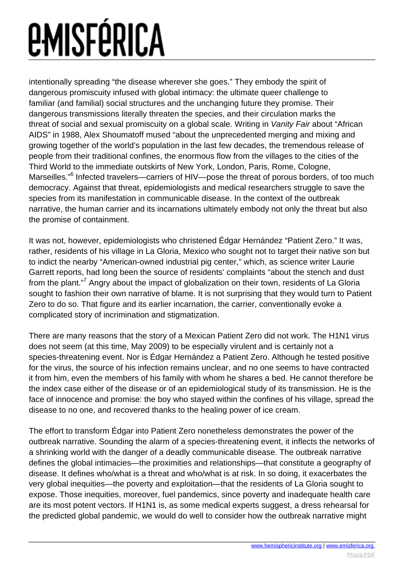intentionally spreading "the disease wherever she goes." They embody the spirit of dangerous promiscuity infused with global intimacy: the ultimate queer challenge to familiar (and familial) social structures and the unchanging future they promise. Their dangerous transmissions literally threaten the species, and their circulation marks the threat of social and sexual promiscuity on a global scale. Writing in Vanity Fair about "African AIDS" in 1988, Alex Shoumatoff mused "about the unprecedented merging and mixing and growing together of the world's population in the last few decades, the tremendous release of people from their traditional confines, the enormous flow from the villages to the cities of the Third World to the immediate outskirts of New York, London, Paris, Rome, Cologne, Marseilles."<sup>6</sup> Infected travelers—carriers of HIV—pose the threat of porous borders, of too much democracy. Against that threat, epidemiologists and medical researchers struggle to save the species from its manifestation in communicable disease. In the context of the outbreak narrative, the human carrier and its incarnations ultimately embody not only the threat but also the promise of containment.

It was not, however, epidemiologists who christened Édgar Hernández "Patient Zero." It was, rather, residents of his village in La Gloria, Mexico who sought not to target their native son but to indict the nearby "American-owned industrial pig center," which, as science writer Laurie Garrett reports, had long been the source of residents' complaints "about the stench and dust from the plant."<sup>7</sup> Angry about the impact of globalization on their town, residents of La Gloria sought to fashion their own narrative of blame. It is not surprising that they would turn to Patient Zero to do so. That figure and its earlier incarnation, the carrier, conventionally evoke a complicated story of incrimination and stigmatization.

There are many reasons that the story of a Mexican Patient Zero did not work. The H1N1 virus does not seem (at this time, May 2009) to be especially virulent and is certainly not a species-threatening event. Nor is Édgar Hernández a Patient Zero. Although he tested positive for the virus, the source of his infection remains unclear, and no one seems to have contracted it from him, even the members of his family with whom he shares a bed. He cannot therefore be the index case either of the disease or of an epidemiological study of its transmission. He is the face of innocence and promise: the boy who stayed within the confines of his village, spread the disease to no one, and recovered thanks to the healing power of ice cream.

The effort to transform Édgar into Patient Zero nonetheless demonstrates the power of the outbreak narrative. Sounding the alarm of a species-threatening event, it inflects the networks of a shrinking world with the danger of a deadly communicable disease. The outbreak narrative defines the global intimacies—the proximities and relationships—that constitute a geography of disease. It defines who/what is a threat and who/what is at risk. In so doing, it exacerbates the very global inequities—the poverty and exploitation—that the residents of La Gloria sought to expose. Those inequities, moreover, fuel pandemics, since poverty and inadequate health care are its most potent vectors. If H1N1 is, as some medical experts suggest, a dress rehearsal for the predicted global pandemic, we would do well to consider how the outbreak narrative might